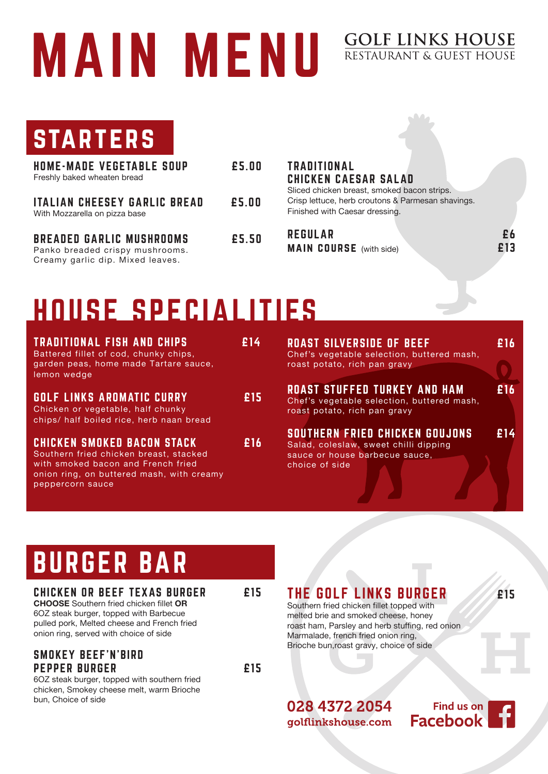# MAIN MENU

### **GOLF LINKS HOUSE**<br>RESTAURANT & GUEST HOUSE

**STARTERS** 

| <b>HOME-MADE VEGETABLE SOUP</b><br>Freshly baked wheaten bread       | £5.00 |
|----------------------------------------------------------------------|-------|
| <b>ITALIAN CHEESEY GARLIC BREAD</b><br>With Mozzarella on pizza base | £5.00 |

BREADED GARLIC MUSHROOMS £5.50 Panko breaded crispy mushrooms. Creamy garlic dip. Mixed leaves.

#### TRADITIONAL CHICKEN CAESAR SALAD

Sliced chicken breast, smoked bacon strips. Crisp lettuce, herb croutons & Parmesan shavings. Finished with Caesar dressing.

REGULAR **E6** main course (with side) £13

### HOUSE SPECIALITIES

| <b>TRADITIONAL FISH AND CHIPS</b>                    | £14 |
|------------------------------------------------------|-----|
| Battered fillet of cod, chunky chips,                |     |
| garden peas, home made Tartare sauce,<br>lemon wedge |     |
|                                                      |     |

GOLF LINKS AROMATIC CURRY £15 Chicken or vegetable, half chunky chips/ half boiled rice, herb naan bread

CHICKEN SMOKED BACON STACK £16 Southern fried chicken breast, stacked with smoked bacon and French fried onion ring, on buttered mash, with creamy peppercorn sauce

ROAST SILVERSIDE OF BEEF **16** Chef's vegetable selection, buttered mash, roast potato, rich pan gravy ROAST STUFFED TURKEY AND HAM £16 Chef's vegetable selection, buttered mash, roast potato, rich pan gravy SOUTHERN FRIED CHICKEN GOUJONS £14

Salad, coleslaw, sweet chilli dipping sauce or house barbecue sauce, choice of side

### BURGER BAR

#### CHICKEN OR BEEF TEXAS BURGER E15

**CHOOSE** Southern fried chicken fillet **OR** 6OZ steak burger, topped with Barbecue pulled pork, Melted cheese and French fried onion ring, served with choice of side

#### SMOKEY BEEF'N'BIRD PEPPER BURGER £15

6OZ steak burger, topped with southern fried chicken, Smokey cheese melt, warm Brioche bun, Choice of side

THE GOLF LINKS BURGER **1999** F15

Southern fried chicken fillet topped with melted brie and smoked cheese, honey roast ham, Parsley and herb stuffing, red onion Marmalade, french fried onion ring, Brioche bun,roast gravy, choice of side

028 4372 2054 golflinkshouse.com

Find us on **Facebook**